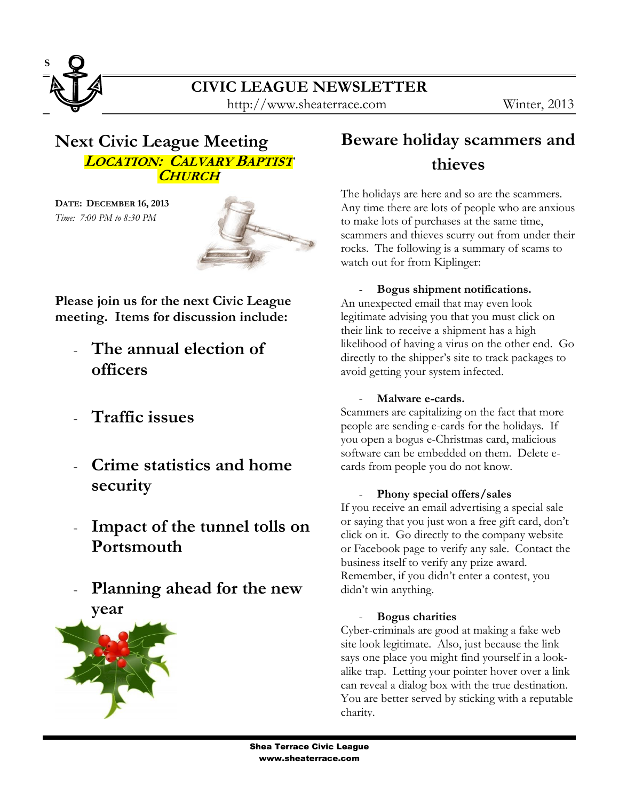

# **Next Civic League Meeting LOCATION: CALVARY BAPTIST CHURCH**

**DATE: DECEMBER 16, 2013** *Time: 7:00 PM to 8:30 PM*



**Please join us for the next Civic League meeting. Items for discussion include:**

- **The annual election of officers**
- **Traffic issues**
- **Crime statistics and home security**
- **Impact of the tunnel tolls on Portsmouth**
- **Planning ahead for the new year**



# **Beware holiday scammers and thieves**

The holidays are here and so are the scammers. Any time there are lots of people who are anxious to make lots of purchases at the same time, scammers and thieves scurry out from under their rocks. The following is a summary of scams to watch out for from Kiplinger:

### - **Bogus shipment notifications.**

An unexpected email that may even look legitimate advising you that you must click on their link to receive a shipment has a high likelihood of having a virus on the other end. Go directly to the shipper's site to track packages to avoid getting your system infected.

#### - **Malware e-cards.**

Scammers are capitalizing on the fact that more people are sending e-cards for the holidays. If you open a bogus e-Christmas card, malicious software can be embedded on them. Delete ecards from people you do not know.

#### - **Phony special offers/sales**

If you receive an email advertising a special sale or saying that you just won a free gift card, don't click on it. Go directly to the company website or Facebook page to verify any sale. Contact the business itself to verify any prize award. Remember, if you didn't enter a contest, you didn't win anything.

#### - **Bogus charities**

Cyber-criminals are good at making a fake web site look legitimate. Also, just because the link says one place you might find yourself in a lookalike trap. Letting your pointer hover over a link can reveal a dialog box with the true destination. You are better served by sticking with a reputable charity.